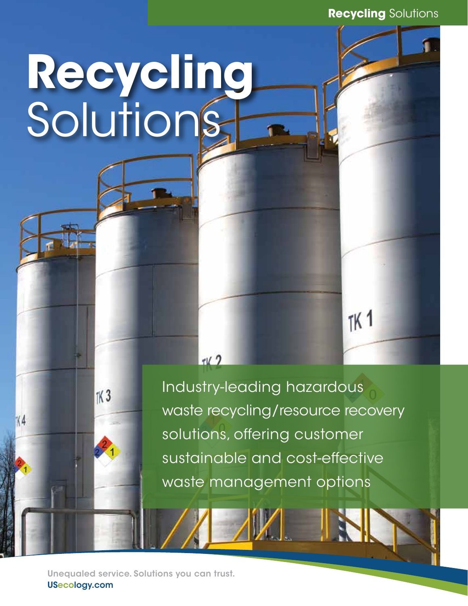Recycling Solutions

 $7K<sub>1</sub>$ 

# Recycling Solutions

Industry-leading hazardous waste recycling/resource recovery solutions, offering customer sustainable and cost-effective waste management options

 $71/2$ 

Unequaled service. Solutions you can trust. USecology.com

 $K3$ 

 $N<sub>4</sub>$